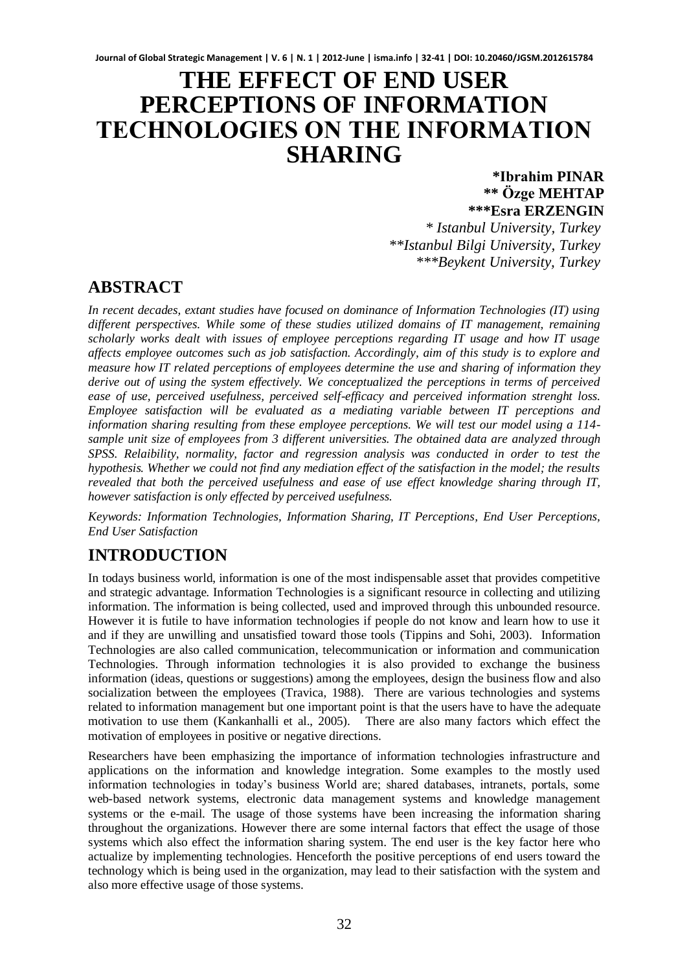# **THE EFFECT OF END USER PERCEPTIONS OF INFORMATION TECHNOLOGIES ON THE INFORMATION SHARING**

**\*Ibrahim PINAR \*\* Özge MEHTAP \*\*\*Esra ERZENGIN**

*\* Istanbul University, Turkey \*\*Istanbul Bilgi University, Turkey \*\*\*Beykent University, Turkey* 

## **ABSTRACT**

*In recent decades, extant studies have focused on dominance of Information Technologies (IT) using different perspectives. While some of these studies utilized domains of IT management, remaining scholarly works dealt with issues of employee perceptions regarding IT usage and how IT usage affects employee outcomes such as job satisfaction. Accordingly, aim of this study is to explore and measure how IT related perceptions of employees determine the use and sharing of information they derive out of using the system effectively. We conceptualized the perceptions in terms of perceived ease of use, perceived usefulness, perceived self-efficacy and perceived information strenght loss. Employee satisfaction will be evaluated as a mediating variable between IT perceptions and information sharing resulting from these employee perceptions. We will test our model using a 114 sample unit size of employees from 3 different universities. The obtained data are analyzed through SPSS. Relaibility, normality, factor and regression analysis was conducted in order to test the hypothesis. Whether we could not find any mediation effect of the satisfaction in the model; the results revealed that both the perceived usefulness and ease of use effect knowledge sharing through IT, however satisfaction is only effected by perceived usefulness.* 

*Keywords: Information Technologies, Information Sharing, IT Perceptions, End User Perceptions, End User Satisfaction* 

## **INTRODUCTION**

In todays business world, information is one of the most indispensable asset that provides competitive and strategic advantage. Information Technologies is a significant resource in collecting and utilizing information. The information is being collected, used and improved through this unbounded resource. However it is futile to have information technologies if people do not know and learn how to use it and if they are unwilling and unsatisfied toward those tools (Tippins and Sohi, 2003). Information Technologies are also called communication, telecommunication or information and communication Technologies. Through information technologies it is also provided to exchange the business information (ideas, questions or suggestions) among the employees, design the business flow and also socialization between the employees (Travica, 1988). There are various technologies and systems related to information management but one important point is that the users have to have the adequate motivation to use them (Kankanhalli et al., 2005). There are also many factors which effect the motivation of employees in positive or negative directions.

Researchers have been emphasizing the importance of information technologies infrastructure and applications on the information and knowledge integration. Some examples to the mostly used information technologies in today's business World are; shared databases, intranets, portals, some web-based network systems, electronic data management systems and knowledge management systems or the e-mail. The usage of those systems have been increasing the information sharing throughout the organizations. However there are some internal factors that effect the usage of those systems which also effect the information sharing system. The end user is the key factor here who actualize by implementing technologies. Henceforth the positive perceptions of end users toward the technology which is being used in the organization, may lead to their satisfaction with the system and also more effective usage of those systems.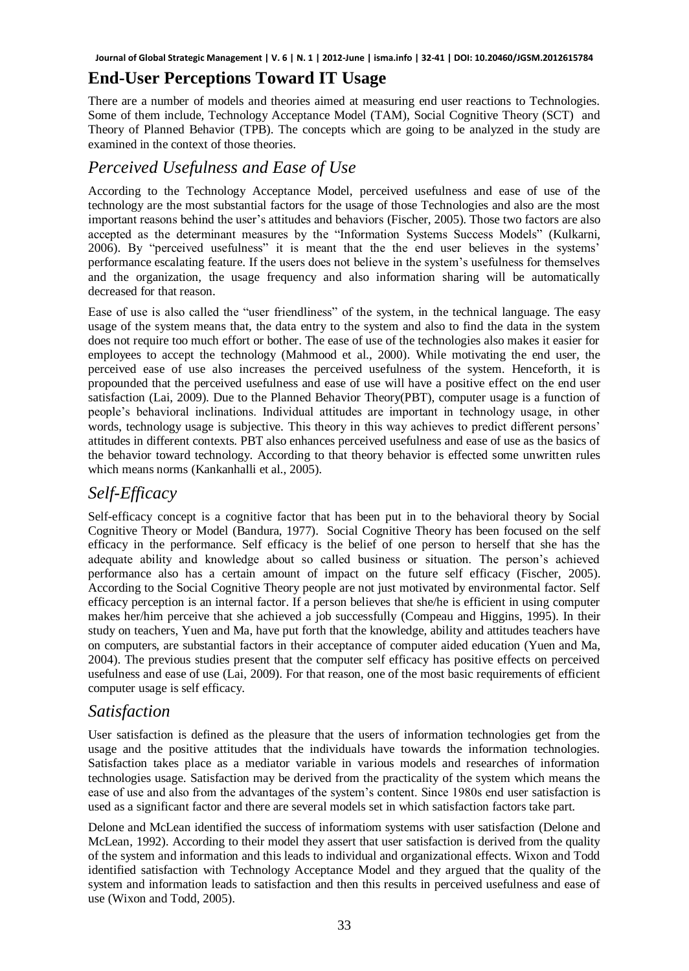## **End-User Perceptions Toward IT Usage**

There are a number of models and theories aimed at measuring end user reactions to Technologies. Some of them include, Technology Acceptance Model (TAM), Social Cognitive Theory (SCT) and Theory of Planned Behavior (TPB). The concepts which are going to be analyzed in the study are examined in the context of those theories.

## *Perceived Usefulness and Ease of Use*

According to the Technology Acceptance Model, perceived usefulness and ease of use of the technology are the most substantial factors for the usage of those Technologies and also are the most important reasons behind the user's attitudes and behaviors (Fischer, 2005). Those two factors are also accepted as the determinant measures by the "Information Systems Success Models" (Kulkarni, 2006). By "perceived usefulness" it is meant that the the end user believes in the systems' performance escalating feature. If the users does not believe in the system's usefulness for themselves and the organization, the usage frequency and also information sharing will be automatically decreased for that reason.

Ease of use is also called the "user friendliness" of the system, in the technical language. The easy usage of the system means that, the data entry to the system and also to find the data in the system does not require too much effort or bother. The ease of use of the technologies also makes it easier for employees to accept the technology (Mahmood et al., 2000). While motivating the end user, the perceived ease of use also increases the perceived usefulness of the system. Henceforth, it is propounded that the perceived usefulness and ease of use will have a positive effect on the end user satisfaction (Lai, 2009). Due to the Planned Behavior Theory(PBT), computer usage is a function of people's behavioral inclinations. Individual attitudes are important in technology usage, in other words, technology usage is subjective. This theory in this way achieves to predict different persons' attitudes in different contexts. PBT also enhances perceived usefulness and ease of use as the basics of the behavior toward technology. According to that theory behavior is effected some unwritten rules which means norms (Kankanhalli et al., 2005).

## *Self-Efficacy*

Self-efficacy concept is a cognitive factor that has been put in to the behavioral theory by Social Cognitive Theory or Model (Bandura, 1977). Social Cognitive Theory has been focused on the self efficacy in the performance. Self efficacy is the belief of one person to herself that she has the adequate ability and knowledge about so called business or situation. The person's achieved performance also has a certain amount of impact on the future self efficacy (Fischer, 2005). According to the Social Cognitive Theory people are not just motivated by environmental factor. Self efficacy perception is an internal factor. If a person believes that she/he is efficient in using computer makes her/him perceive that she achieved a job successfully (Compeau and Higgins, 1995). In their study on teachers, Yuen and Ma, have put forth that the knowledge, ability and attitudes teachers have on computers, are substantial factors in their acceptance of computer aided education (Yuen and Ma, 2004). The previous studies present that the computer self efficacy has positive effects on perceived usefulness and ease of use (Lai, 2009). For that reason, one of the most basic requirements of efficient computer usage is self efficacy.

### *Satisfaction*

User satisfaction is defined as the pleasure that the users of information technologies get from the usage and the positive attitudes that the individuals have towards the information technologies. Satisfaction takes place as a mediator variable in various models and researches of information technologies usage. Satisfaction may be derived from the practicality of the system which means the ease of use and also from the advantages of the system's content. Since 1980s end user satisfaction is used as a significant factor and there are several models set in which satisfaction factors take part.

Delone and McLean identified the success of informatiom systems with user satisfaction (Delone and McLean, 1992). According to their model they assert that user satisfaction is derived from the quality of the system and information and this leads to individual and organizational effects. Wixon and Todd identified satisfaction with Technology Acceptance Model and they argued that the quality of the system and information leads to satisfaction and then this results in perceived usefulness and ease of use (Wixon and Todd, 2005).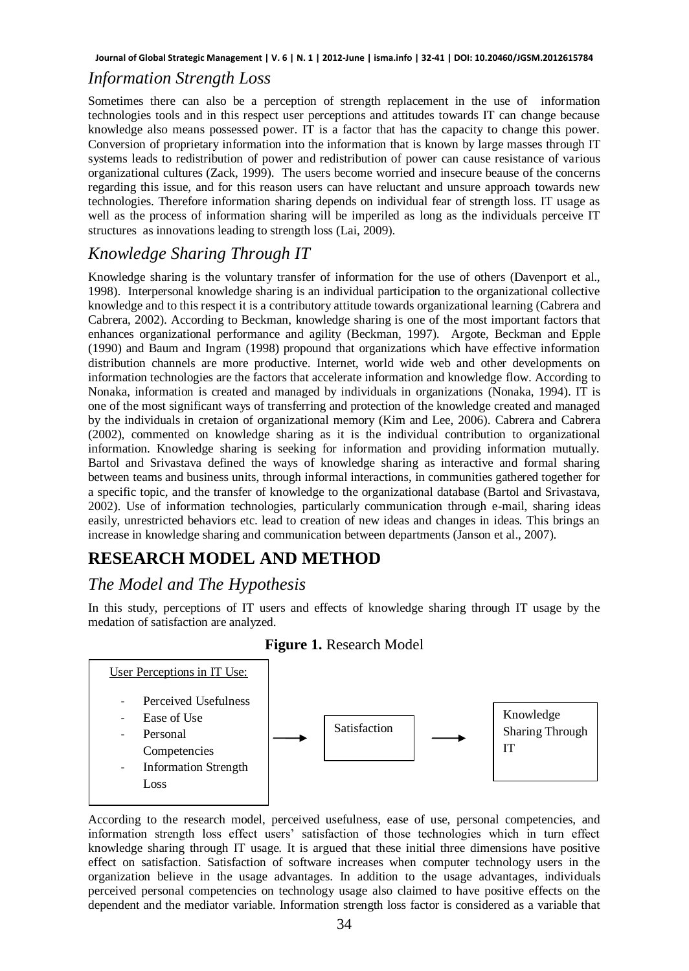### *Information Strength Loss*

Sometimes there can also be a perception of strength replacement in the use of information technologies tools and in this respect user perceptions and attitudes towards IT can change because knowledge also means possessed power. IT is a factor that has the capacity to change this power. Conversion of proprietary information into the information that is known by large masses through IT systems leads to redistribution of power and redistribution of power can cause resistance of various organizational cultures (Zack, 1999). The users become worried and insecure beause of the concerns regarding this issue, and for this reason users can have reluctant and unsure approach towards new technologies. Therefore information sharing depends on individual fear of strength loss. IT usage as well as the process of information sharing will be imperiled as long as the individuals perceive IT structures as innovations leading to strength loss (Lai, 2009).

## *Knowledge Sharing Through IT*

Knowledge sharing is the voluntary transfer of information for the use of others (Davenport et al., 1998). Interpersonal knowledge sharing is an individual participation to the organizational collective knowledge and to this respect it is a contributory attitude towards organizational learning (Cabrera and Cabrera, 2002). According to Beckman, knowledge sharing is one of the most important factors that enhances organizational performance and agility (Beckman, 1997). Argote, Beckman and Epple (1990) and Baum and Ingram (1998) propound that organizations which have effective information distribution channels are more productive. Internet, world wide web and other developments on information technologies are the factors that accelerate information and knowledge flow. According to Nonaka, information is created and managed by individuals in organizations (Nonaka, 1994). IT is one of the most significant ways of transferring and protection of the knowledge created and managed by the individuals in cretaion of organizational memory (Kim and Lee, 2006). Cabrera and Cabrera (2002), commented on knowledge sharing as it is the individual contribution to organizational information. Knowledge sharing is seeking for information and providing information mutually. Bartol and Srivastava defined the ways of knowledge sharing as interactive and formal sharing between teams and business units, through informal interactions, in communities gathered together for a specific topic, and the transfer of knowledge to the organizational database (Bartol and Srivastava, 2002). Use of information technologies, particularly communication through e-mail, sharing ideas easily, unrestricted behaviors etc. lead to creation of new ideas and changes in ideas. This brings an increase in knowledge sharing and communication between departments (Janson et al., 2007).

## **RESEARCH MODEL AND METHOD**

## *The Model and The Hypothesis*

In this study, perceptions of IT users and effects of knowledge sharing through IT usage by the medation of satisfaction are analyzed.



### **Figure 1.** Research Model

According to the research model, perceived usefulness, ease of use, personal competencies, and information strength loss effect users' satisfaction of those technologies which in turn effect knowledge sharing through IT usage. It is argued that these initial three dimensions have positive effect on satisfaction. Satisfaction of software increases when computer technology users in the organization believe in the usage advantages. In addition to the usage advantages, individuals perceived personal competencies on technology usage also claimed to have positive effects on the dependent and the mediator variable. Information strength loss factor is considered as a variable that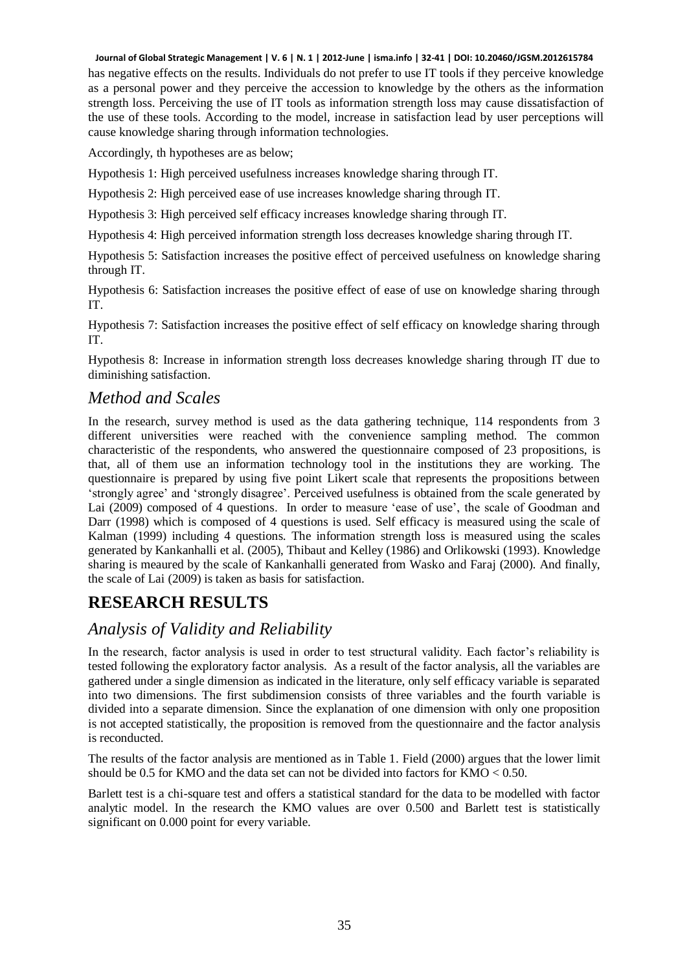has negative effects on the results. Individuals do not prefer to use IT tools if they perceive knowledge as a personal power and they perceive the accession to knowledge by the others as the information strength loss. Perceiving the use of IT tools as information strength loss may cause dissatisfaction of the use of these tools. According to the model, increase in satisfaction lead by user perceptions will cause knowledge sharing through information technologies.

Accordingly, th hypotheses are as below;

Hypothesis 1: High perceived usefulness increases knowledge sharing through IT.

Hypothesis 2: High perceived ease of use increases knowledge sharing through IT.

Hypothesis 3: High perceived self efficacy increases knowledge sharing through IT.

Hypothesis 4: High perceived information strength loss decreases knowledge sharing through IT.

Hypothesis 5: Satisfaction increases the positive effect of perceived usefulness on knowledge sharing through IT.

Hypothesis 6: Satisfaction increases the positive effect of ease of use on knowledge sharing through IT.

Hypothesis 7: Satisfaction increases the positive effect of self efficacy on knowledge sharing through IT.

Hypothesis 8: Increase in information strength loss decreases knowledge sharing through IT due to diminishing satisfaction.

### *Method and Scales*

In the research, survey method is used as the data gathering technique, 114 respondents from 3 different universities were reached with the convenience sampling method. The common characteristic of the respondents, who answered the questionnaire composed of 23 propositions, is that, all of them use an information technology tool in the institutions they are working. The questionnaire is prepared by using five point Likert scale that represents the propositions between 'strongly agree' and 'strongly disagree'. Perceived usefulness is obtained from the scale generated by Lai (2009) composed of 4 questions. In order to measure 'ease of use', the scale of Goodman and Darr (1998) which is composed of 4 questions is used. Self efficacy is measured using the scale of Kalman (1999) including 4 questions. The information strength loss is measured using the scales generated by Kankanhalli et al. (2005), Thibaut and Kelley (1986) and Orlikowski (1993). Knowledge sharing is meaured by the scale of Kankanhalli generated from Wasko and Faraj (2000). And finally, the scale of Lai (2009) is taken as basis for satisfaction.

## **RESEARCH RESULTS**

### *Analysis of Validity and Reliability*

In the research, factor analysis is used in order to test structural validity. Each factor's reliability is tested following the exploratory factor analysis. As a result of the factor analysis, all the variables are gathered under a single dimension as indicated in the literature, only self efficacy variable is separated into two dimensions. The first subdimension consists of three variables and the fourth variable is divided into a separate dimension. Since the explanation of one dimension with only one proposition is not accepted statistically, the proposition is removed from the questionnaire and the factor analysis is reconducted.

The results of the factor analysis are mentioned as in Table 1. Field (2000) argues that the lower limit should be 0.5 for KMO and the data set can not be divided into factors for  $KMO < 0.50$ .

Barlett test is a chi-square test and offers a statistical standard for the data to be modelled with factor analytic model. In the research the KMO values are over 0.500 and Barlett test is statistically significant on 0.000 point for every variable.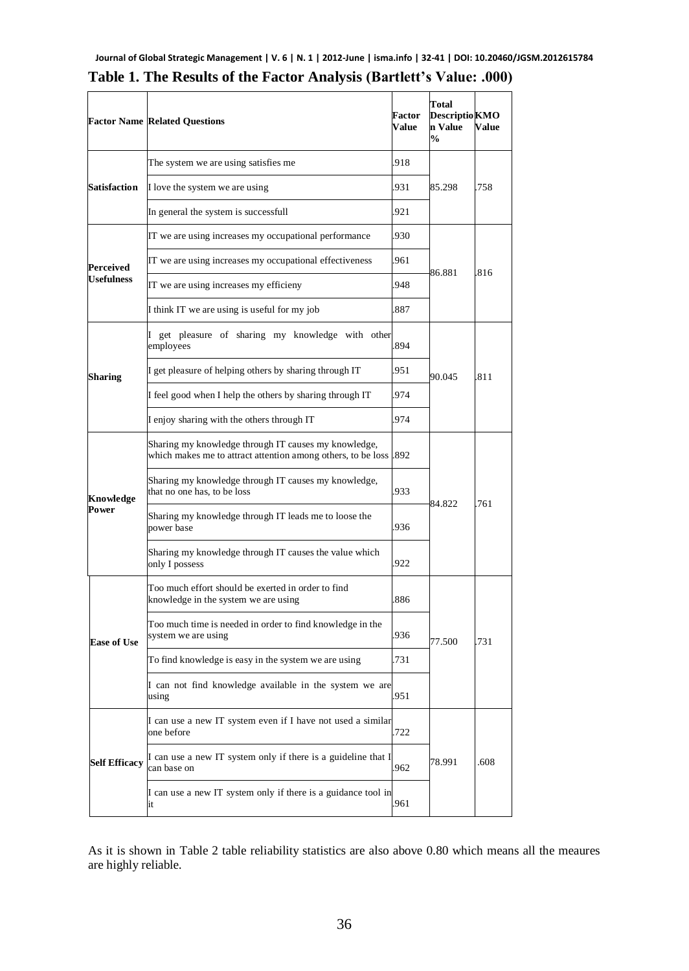|                      | <b>Factor Name Related Questions</b>                                                                                 | Factor<br>Value | Total<br><b>Descriptio KMO</b><br>n Value<br>$\frac{0}{0}$ | Value |
|----------------------|----------------------------------------------------------------------------------------------------------------------|-----------------|------------------------------------------------------------|-------|
|                      | 918<br>The system we are using satisfies me                                                                          |                 |                                                            |       |
| <b>Satisfaction</b>  | I love the system we are using                                                                                       | .931            | 85.298                                                     | .758  |
|                      | In general the system is successfull                                                                                 | 921             |                                                            |       |
|                      | IT we are using increases my occupational performance                                                                | 930             |                                                            | .816  |
| Perceived            | IT we are using increases my occupational effectiveness                                                              | 961             | 86.881                                                     |       |
| <b>Usefulness</b>    | IT we are using increases my efficieny                                                                               | 948             |                                                            |       |
|                      | I think IT we are using is useful for my job                                                                         | 887             |                                                            |       |
|                      | I get pleasure of sharing my knowledge with other<br>employees                                                       | .894            | 90.045                                                     | 811   |
| Sharing              | I get pleasure of helping others by sharing through IT                                                               | 951             |                                                            |       |
|                      | I feel good when I help the others by sharing through IT                                                             | 974             |                                                            |       |
|                      | I enjoy sharing with the others through IT                                                                           | 974             |                                                            |       |
| Knowledge<br>Power   | Sharing my knowledge through IT causes my knowledge,<br>which makes me to attract attention among others, to be loss | .892            | 84.822                                                     | .761  |
|                      | Sharing my knowledge through IT causes my knowledge,<br>that no one has, to be loss                                  | 933             |                                                            |       |
|                      | Sharing my knowledge through IT leads me to loose the<br>power base                                                  | 936             |                                                            |       |
|                      | Sharing my knowledge through IT causes the value which<br>only I possess                                             | 922             |                                                            |       |
| <b>Ease of Use</b>   | Too much effort should be exerted in order to find<br>knowledge in the system we are using                           | 886             | 77.500                                                     | .731  |
|                      | Too much time is needed in order to find knowledge in the<br>system we are using                                     | 936             |                                                            |       |
|                      | To find knowledge is easy in the system we are using                                                                 | 731             |                                                            |       |
|                      | I can not find knowledge available in the system we are<br>using                                                     | .951            |                                                            |       |
| <b>Self Efficacy</b> | I can use a new IT system even if I have not used a similar<br>one before                                            |                 |                                                            |       |
|                      | I can use a new IT system only if there is a guideline that I<br>can base on                                         | 962             | 78.991                                                     | .608  |
|                      | I can use a new IT system only if there is a guidance tool in<br>961<br>it                                           |                 |                                                            |       |

|  |  |  | Table 1. The Results of the Factor Analysis (Bartlett's Value: .000) |  |
|--|--|--|----------------------------------------------------------------------|--|
|  |  |  |                                                                      |  |

As it is shown in Table 2 table reliability statistics are also above 0.80 which means all the meaures are highly reliable.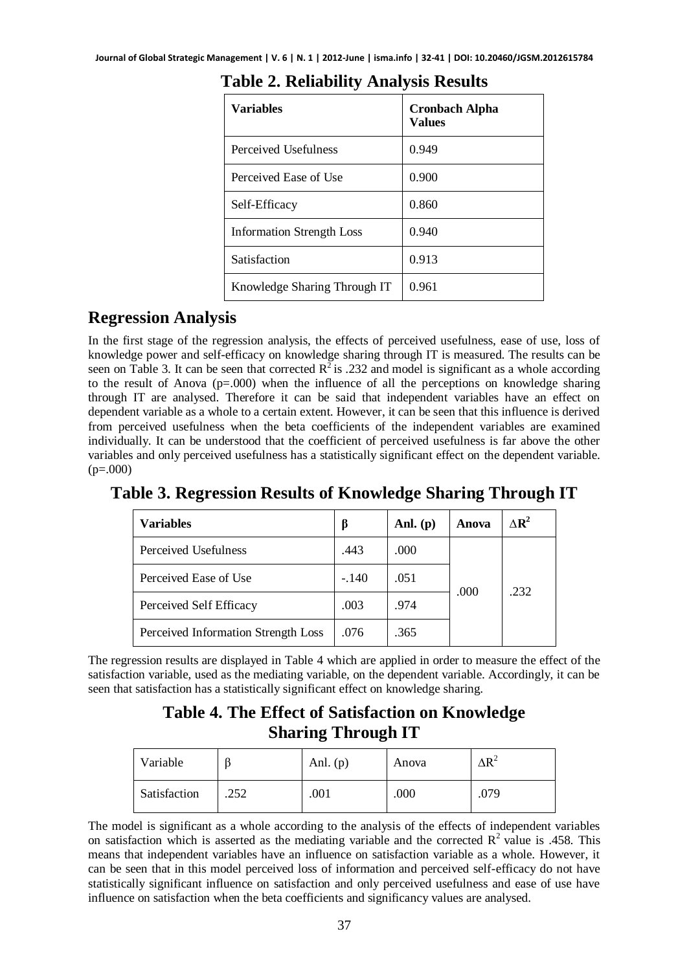| Variables                    | <b>Cronbach Alpha</b><br>Values |
|------------------------------|---------------------------------|
| Perceived Usefulness         | 0.949                           |
| Perceived Ease of Use        | 0.900                           |
| Self-Efficacy                | 0.860                           |
| Information Strength Loss    | 0.940                           |
| Satisfaction                 | 0.913                           |
| Knowledge Sharing Through IT | 0.961                           |

## **Table 2. Reliability Analysis Results**

## **Regression Analysis**

In the first stage of the regression analysis, the effects of perceived usefulness, ease of use, loss of knowledge power and self-efficacy on knowledge sharing through IT is measured. The results can be seen on Table 3. It can be seen that corrected  $R^2$  is .232 and model is significant as a whole according to the result of Anova  $(p=.000)$  when the influence of all the perceptions on knowledge sharing through IT are analysed. Therefore it can be said that independent variables have an effect on dependent variable as a whole to a certain extent. However, it can be seen that this influence is derived from perceived usefulness when the beta coefficients of the independent variables are examined individually. It can be understood that the coefficient of perceived usefulness is far above the other variables and only perceived usefulness has a statistically significant effect on the dependent variable.  $(p=.000)$ 

## **Table 3. Regression Results of Knowledge Sharing Through IT**

| <b>Variables</b>                    |         | Anl. $(p)$ | Anova | $\Delta$ R <sup>2</sup> |
|-------------------------------------|---------|------------|-------|-------------------------|
| Perceived Usefulness                | .443    | .000       |       |                         |
| Perceived Ease of Use               | $-.140$ | .051       | .000  | .232                    |
| Perceived Self Efficacy             | .003    | .974       |       |                         |
| Perceived Information Strength Loss | .076    | .365       |       |                         |

The regression results are displayed in Table 4 which are applied in order to measure the effect of the satisfaction variable, used as the mediating variable, on the dependent variable. Accordingly, it can be seen that satisfaction has a statistically significant effect on knowledge sharing.

## **Table 4. The Effect of Satisfaction on Knowledge Sharing Through IT**

| Variable     |      | Anl. $(p)$ | Anova | $\Delta R^2$ |
|--------------|------|------------|-------|--------------|
| Satisfaction | .252 | .001       | .000  | .079         |

The model is significant as a whole according to the analysis of the effects of independent variables on satisfaction which is asserted as the mediating variable and the corrected  $R^2$  value is .458. This means that independent variables have an influence on satisfaction variable as a whole. However, it can be seen that in this model perceived loss of information and perceived self-efficacy do not have statistically significant influence on satisfaction and only perceived usefulness and ease of use have influence on satisfaction when the beta coefficients and significancy values are analysed.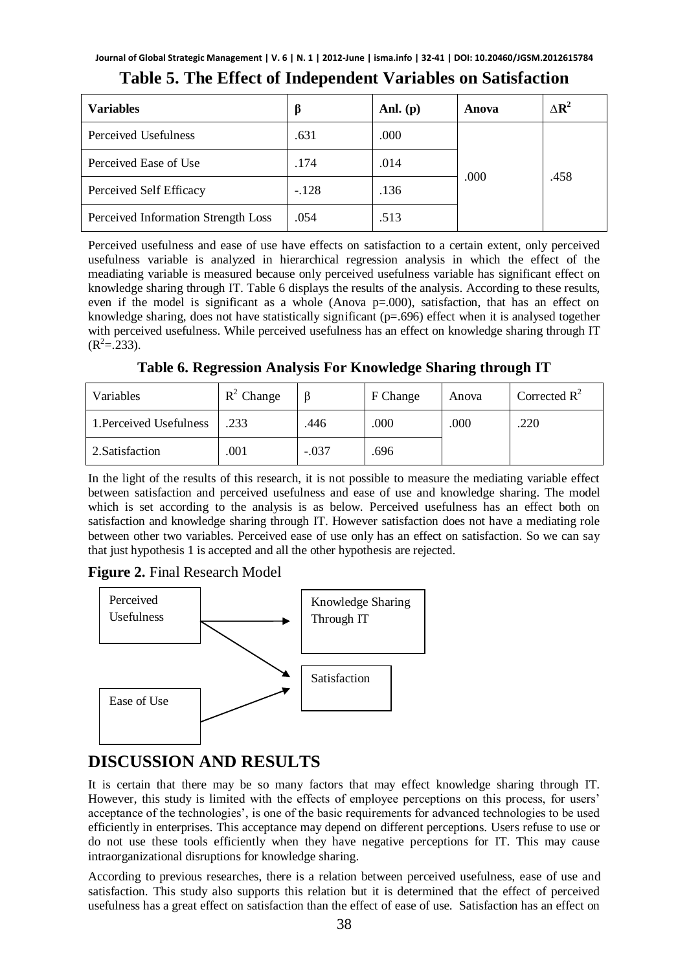| <b>Variables</b>                    |         | Anl. $(p)$ | Anova | $\Delta R^2$ |
|-------------------------------------|---------|------------|-------|--------------|
| Perceived Usefulness                | .631    | .000       |       | .458         |
| Perceived Ease of Use               | .174    | .014       | .000  |              |
| Perceived Self Efficacy             | $-.128$ | .136       |       |              |
| Perceived Information Strength Loss | .054    | .513       |       |              |

### **Table 5. The Effect of Independent Variables on Satisfaction**

Perceived usefulness and ease of use have effects on satisfaction to a certain extent, only perceived usefulness variable is analyzed in hierarchical regression analysis in which the effect of the meadiating variable is measured because only perceived usefulness variable has significant effect on knowledge sharing through IT. Table 6 displays the results of the analysis. According to these results, even if the model is significant as a whole (Anova  $p=000$ ), satisfaction, that has an effect on knowledge sharing, does not have statistically significant  $(p=.696)$  effect when it is analysed together with perceived usefulness. While perceived usefulness has an effect on knowledge sharing through IT  $(R^2 = .233)$ .

**Table 6. Regression Analysis For Knowledge Sharing through IT** 

| Variables               | $R^2$ Change |         | F Change | Anova | Corrected $R^2$ |
|-------------------------|--------------|---------|----------|-------|-----------------|
| 1. Perceived Usefulness | .233         | .446    | .000     | .000  | .220            |
| 2. Satisfaction         | .001         | $-.037$ | .696     |       |                 |

In the light of the results of this research, it is not possible to measure the mediating variable effect between satisfaction and perceived usefulness and ease of use and knowledge sharing. The model which is set according to the analysis is as below. Perceived usefulness has an effect both on satisfaction and knowledge sharing through IT. However satisfaction does not have a mediating role between other two variables. Perceived ease of use only has an effect on satisfaction. So we can say that just hypothesis 1 is accepted and all the other hypothesis are rejected.

### **Figure 2.** Final Research Model



## **DISCUSSION AND RESULTS**

It is certain that there may be so many factors that may effect knowledge sharing through IT. However, this study is limited with the effects of employee perceptions on this process, for users' acceptance of the technologies', is one of the basic requirements for advanced technologies to be used efficiently in enterprises. This acceptance may depend on different perceptions. Users refuse to use or do not use these tools efficiently when they have negative perceptions for IT. This may cause intraorganizational disruptions for knowledge sharing.

According to previous researches, there is a relation between perceived usefulness, ease of use and satisfaction. This study also supports this relation but it is determined that the effect of perceived usefulness has a great effect on satisfaction than the effect of ease of use. Satisfaction has an effect on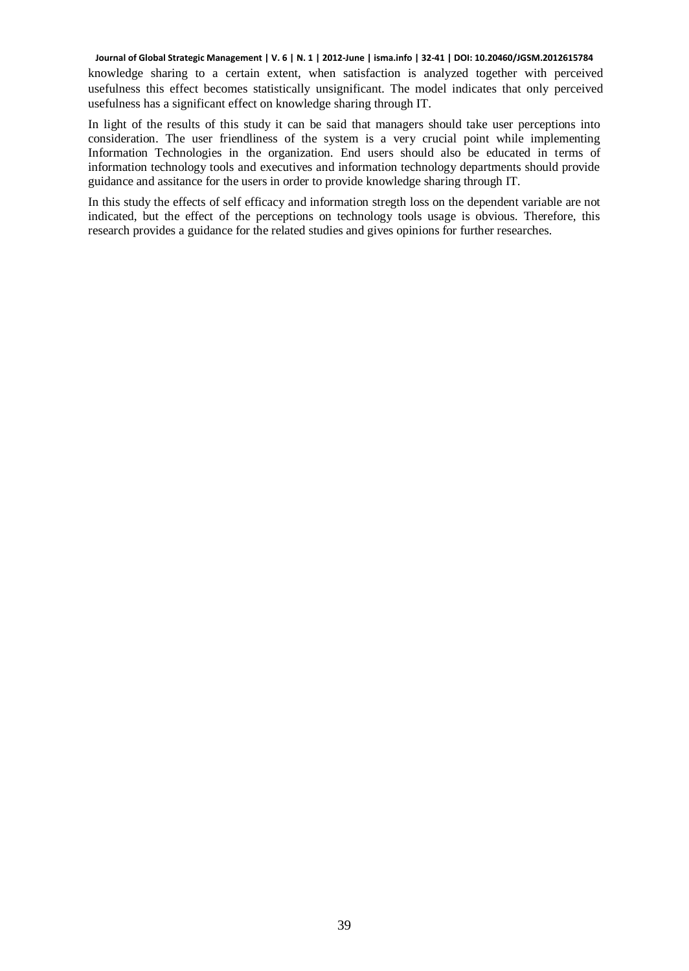knowledge sharing to a certain extent, when satisfaction is analyzed together with perceived usefulness this effect becomes statistically unsignificant. The model indicates that only perceived usefulness has a significant effect on knowledge sharing through IT.

In light of the results of this study it can be said that managers should take user perceptions into consideration. The user friendliness of the system is a very crucial point while implementing Information Technologies in the organization. End users should also be educated in terms of information technology tools and executives and information technology departments should provide guidance and assitance for the users in order to provide knowledge sharing through IT.

In this study the effects of self efficacy and information stregth loss on the dependent variable are not indicated, but the effect of the perceptions on technology tools usage is obvious. Therefore, this research provides a guidance for the related studies and gives opinions for further researches.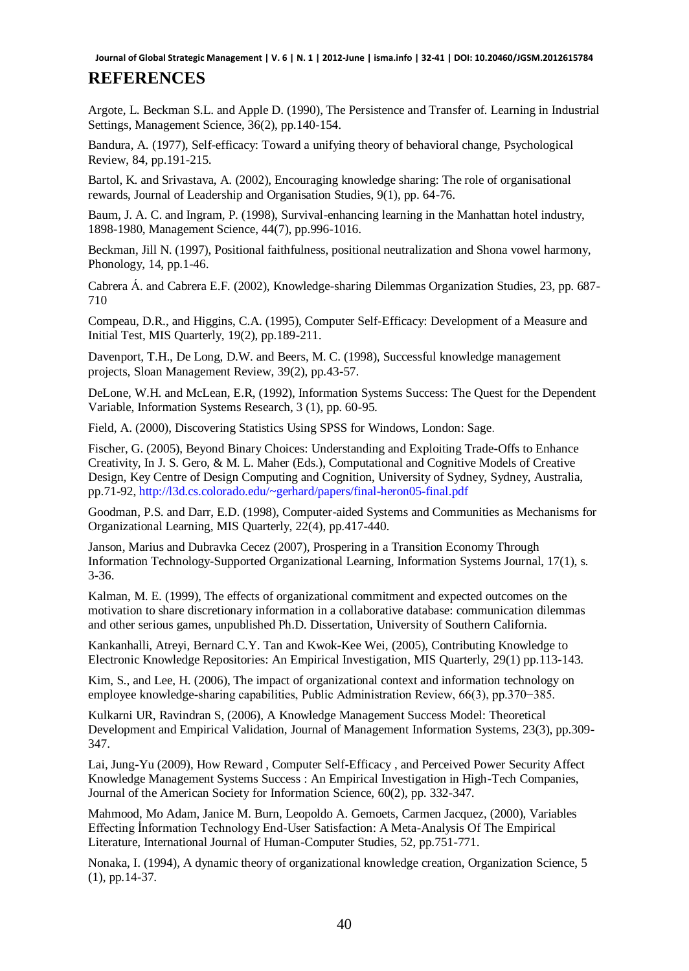### **REFERENCES**

Argote, L. Beckman S.L. and Apple D. (1990), The Persistence and Transfer of. Learning in Industrial Settings, Management Science, 36(2), pp.140-154.

Bandura, A. (1977), Self-efficacy: Toward a unifying theory of behavioral change, Psychological Review, 84, pp.191-215.

Bartol, K. and Srivastava, A. (2002), Encouraging knowledge sharing: The role of organisational rewards, Journal of Leadership and Organisation Studies, 9(1), pp. 64-76.

Baum, J. A. C. and Ingram, P. (1998), Survival-enhancing learning in the Manhattan hotel industry, 1898-1980, Management Science, 44(7), pp.996-1016.

Beckman, Jill N. (1997), Positional faithfulness, positional neutralization and Shona vowel harmony, Phonology, 14, pp.1-46.

[Cabrera](http://www.theorymaps.com/sources?author=Cabrera) Á. and [Cabrera](http://www.theorymaps.com/sources?author=Cabrera) E.F. (2002), Knowledge-sharing Dilemmas Organization Studies, 23, pp. 687- 710

Compeau, D.R., and Higgins, C.A. (1995), Computer Self-Efficacy: Development of a Measure and Initial Test, MIS Quarterly, 19(2), pp.189-211.

Davenport, T.H., De Long, D.W. and Beers, M. C. (1998), Successful knowledge management projects, Sloan Management Review, 39(2), pp.43-57.

DeLone, W.H. and McLean, E.R, (1992), Information Systems Success: The Quest for the Dependent Variable, Information Systems Research, 3 (1), pp. 60-95.

Field, A. (2000), Discovering Statistics Using SPSS for Windows, London: Sage.

Fischer, G. (2005), Beyond Binary Choices: Understanding and Exploiting Trade-Offs to Enhance Creativity, In J. S. Gero, & M. L. Maher (Eds.), Computational and Cognitive Models of Creative Design, Key Centre of Design Computing and Cognition, University of Sydney, Sydney, Australia, pp.71-92[, http://l3d.cs.colorado.edu/~gerhard/papers/final-heron05-final.pdf](http://l3d.cs.colorado.edu/~gerhard/papers/final-heron05-final.pdf)

Goodman, P.S. and Darr, E.D. (1998), Computer-aided Systems and Communities as Mechanisms for Organizational Learning, MIS Quarterly, 22(4), pp.417-440.

Janson, Marius and Dubravka Cecez (2007), Prospering in a Transition Economy Through Information Technology-Supported Organizational Learning, Information Systems Journal, 17(1), s. 3-36.

Kalman, M. E. (1999), The effects of organizational commitment and expected outcomes on the motivation to share discretionary information in a collaborative database: communication dilemmas and other serious games, unpublished Ph.D. Dissertation, University of Southern California.

Kankanhalli, Atreyi, Bernard C.Y. Tan and Kwok-Kee Wei, (2005), Contributing Knowledge to Electronic Knowledge Repositories: An Empirical Investigation, MIS Quarterly, 29(1) pp.113-143.

Kim, S., and Lee, H. (2006), The impact of organizational context and information technology on employee knowledge-sharing capabilities, Public Administration Review, 66(3), pp.370−385.

Kulkarni UR, Ravindran S, (2006), A Knowledge Management Success Model: Theoretical Development and Empirical Validation, Journal of Management Information Systems, 23(3), pp.309- 347.

Lai, Jung-Yu (2009), How Reward , Computer Self-Efficacy , and Perceived Power Security Affect Knowledge Management Systems Success : An Empirical Investigation in High-Tech Companies, Journal of the American Society for Information Science, 60(2), pp. 332-347.

Mahmood, Mo Adam, Janice M. Burn, Leopoldo A. Gemoets, Carmen Jacquez, (2000), Variables Effecting İnformation Technology End-User Satisfaction: A Meta-Analysis Of The Empirical Literature, International Journal of Human-Computer Studies, 52, pp.751-771.

Nonaka, I. (1994), A dynamic theory of organizational knowledge creation, Organization Science, 5 (1), pp.14-37.